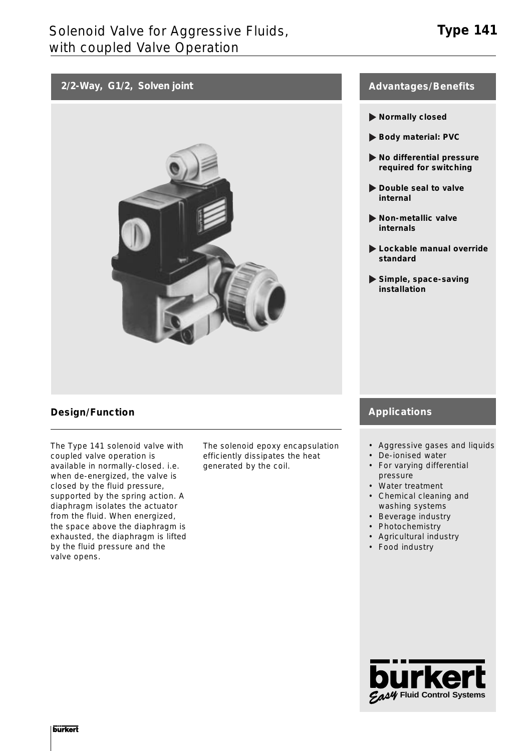# **2/2-Way, G1/2, Solven joint**



## **Design/Function**

The Type 141 solenoid valve with coupled valve operation is available in normally-closed. i.e. when de-energized, the valve is closed by the fluid pressure, supported by the spring action. A diaphragm isolates the actuator from the fluid. When energized, the space above the diaphragm is exhausted, the diaphragm is lifted by the fluid pressure and the valve opens.

The solenoid epoxy encapsulation efficiently dissipates the heat generated by the coil.

### **Advantages/Benefits**

- **Normally closed**
- **Body material: PVC**
- **No differential pressure required for switching**
- **Double seal to valve internal**
- **Non-metallic valve internals**
- **Lockable manual override standard**
- **Simple, space-saving installation**

## **Applications**

- Aggressive gases and liquids
- De-ionised water
- For varying differential pressure
- Water treatment
- Chemical cleaning and washing systems
- Beverage industry
- Photochemistry
- Agricultural industry
- Food industry

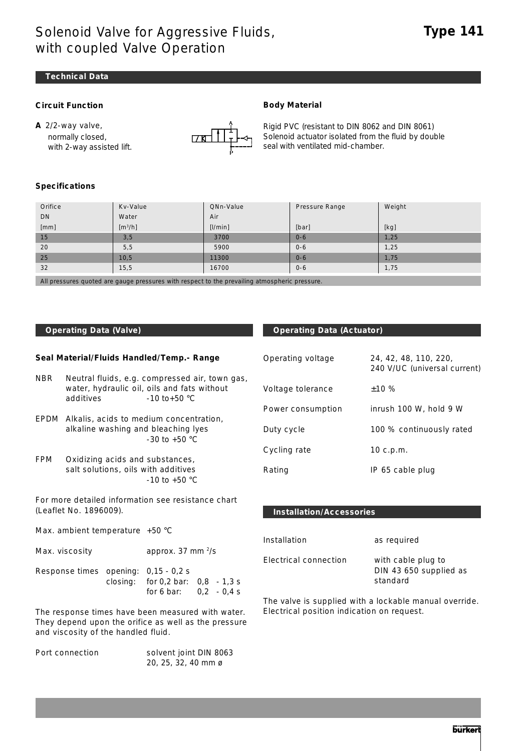# Solenoid Valve for Aggressive Fluids, with coupled Valve Operation

#### **Technical Data**

#### **Circuit Function**

**A** 2/2-way valve, normally closed, with 2-way assisted lift.



Rigid PVC (resistant to DIN 8062 and DIN 8061) Solenoid actuator isolated from the fluid by double seal with ventilated mid-chamber.

#### **Specifications**

| Orifice | Kv-Value            | QNn-Value | Pressure Range | Weight |
|---------|---------------------|-----------|----------------|--------|
| DN      | Water               | Air       |                |        |
| [mm]    | [m <sup>3</sup> /h] | [1/min]   | [bar]          | [kg]   |
| 15      | 3,5                 | 3700      | $0 - 6$        | 1,25   |
| 20      | 5, 5                | 5900      | $0 - 6$        | 1,25   |
| 25      | 10,5                | 11300     | $0 - 6$        | 1,75   |
| 32      | 15,5                | 16700     | $0 - 6$        | 1,75   |
|         |                     |           |                |        |

**Body Material**

All pressures quoted are gauge pressures with respect to the prevailing atmospheric pressure.

#### **Seal Material/Fluids Handled/Temp.- Range**

- NBR Neutral fluids, e.g. compressed air, town gas, water, hydraulic oil, oils and fats without additives  $-10 \text{ to } +50 \text{ °C}$
- EPDM Alkalis, acids to medium concentration, alkaline washing and bleaching lyes -30 to +50 °C
- FPM Oxidizing acids and substances, salt solutions, oils with additives -10 to +50 °C

For more detailed information see resistance chart (Leaflet No. 1896009).

Max. ambient temperature +50 °C

| Max. viscosity | approx. 37 mm $\frac{2}{s}$ |
|----------------|-----------------------------|
|----------------|-----------------------------|

| Response times opening: $0.15 - 0.2$ s |                                       |  |
|----------------------------------------|---------------------------------------|--|
|                                        | closing: for $0.2$ bar: $0.8 - 1.3$ s |  |
|                                        | for 6 bar: $0.2 - 0.4$ s              |  |

The response times have been measured with water. They depend upon the orifice as well as the pressure and viscosity of the handled fluid.

| Port connection | solvent joint DIN 8063 |
|-----------------|------------------------|
|                 | 20, 25, 32, 40 mm ø    |

### **Operating Data (Valve) Community Contracts Contract Contracts Operating Data (Actuator)**

| Operating voltage | 24, 42, 48, 110, 220,<br>240 V/UC (universal current) |
|-------------------|-------------------------------------------------------|
| Voltage tolerance | ±10%                                                  |
| Power consumption | inrush 100 W, hold 9 W                                |
| Duty cycle        | 100 % continuously rated                              |
| Cycling rate      | 10 $c.p.m.$                                           |
| Rating            | IP 65 cable plug                                      |

#### **Installation/Accessories**

| Installation          | as required                                              |
|-----------------------|----------------------------------------------------------|
| Electrical connection | with cable plug to<br>DIN 43 650 supplied as<br>standard |

The valve is supplied with a lockable manual override. Electrical position indication on request.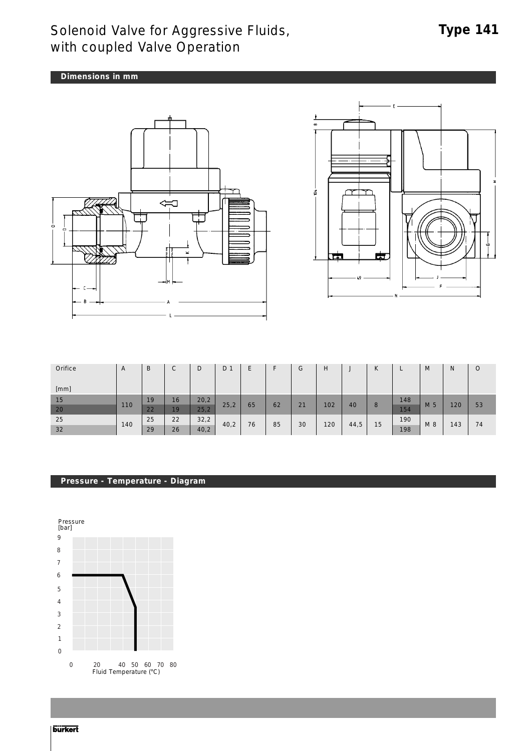# Solenoid Valve for Aggressive Fluids, with coupled Valve Operation

# **Type 141**

**Dimensions in mm**





| Orifice | A   | B  | $\cap$<br>◡ | D    | D    | Е  |    | G  | H   | w    | $\mathbf{r}$<br>N |     | M   | N   | O  |
|---------|-----|----|-------------|------|------|----|----|----|-----|------|-------------------|-----|-----|-----|----|
|         |     |    |             |      |      |    |    |    |     |      |                   |     |     |     |    |
|         |     |    |             |      |      |    |    |    |     |      |                   |     |     |     |    |
|         |     |    |             |      |      |    |    |    |     |      |                   |     |     |     |    |
| [mm]    |     |    |             |      |      |    |    |    |     |      |                   |     |     |     |    |
| 15      |     | 19 | 16          | 20,2 |      |    |    |    |     |      |                   | 148 |     |     |    |
|         | 110 |    |             |      | 25,2 | 65 | 62 | 21 | 102 | 40   | 8                 |     | M 5 | 120 | 53 |
| 20      |     | 22 | 19          | 25,2 |      |    |    |    |     |      |                   | 154 |     |     |    |
| 25      |     | 25 | 22          | 32,2 |      |    |    |    |     |      |                   | 190 |     |     |    |
|         | 140 |    |             |      |      |    |    |    |     |      |                   |     |     |     |    |
|         |     |    |             |      |      |    |    |    |     |      |                   |     |     |     |    |
| 32      |     | 29 | 26          | 40,2 | 40,2 | 76 | 85 | 30 | 120 | 44,5 | 15                | 198 | M 8 | 143 | 74 |

### **Pressure - Temperature - Diagram**